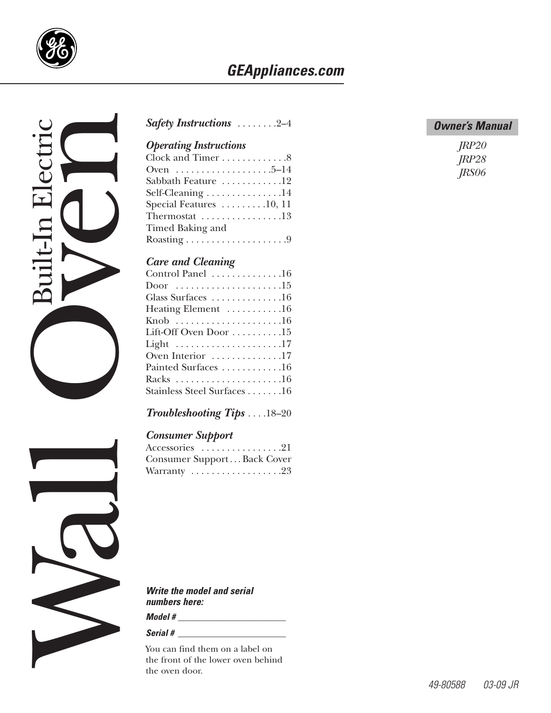

## *GEAppliances.com*



#### *[Safety Instructions](#page-1-0)* . . . . . . . .2–4

### *Operating Instructions*

| Clock and Timer 8                                  |
|----------------------------------------------------|
| Oven 5–14                                          |
| Sabbath Feature 12                                 |
| Self-Cleaning 14                                   |
| Special Features $\dots \dots \dots 10, 11$        |
| Thermostat $\ldots \ldots \ldots \ldots \ldots 13$ |
| Timed Baking and                                   |
|                                                    |
|                                                    |

#### *Care and Cleaning*

| Control Panel 16                                     |
|------------------------------------------------------|
| Door 15                                              |
| Glass Surfaces 16                                    |
| Heating Element 16                                   |
|                                                      |
| Lift-Off Oven Door $\dots \dots \dots \dots 15$      |
| Light $\dots \dots \dots \dots \dots \dots \dots 17$ |
| Oven Interior 17                                     |
| Painted Surfaces 16                                  |
|                                                      |
| Stainless Steel Surfaces16                           |
|                                                      |

#### *[Troubleshooting Tips](#page-17-0)* . . . .18–20

#### *Consumer Support*

| $Accessories \dots \dots \dots \dots \dots 21$ |  |
|------------------------------------------------|--|
| Consumer SupportBack Cover                     |  |
| Warranty 23                                    |  |

*Write the model and serial numbers here:*

*Model # \_\_\_\_\_\_\_\_\_\_\_\_\_\_\_\_\_\_\_\_\_\_\_\_*

#### *Serial # \_\_\_\_\_\_\_\_\_\_\_\_\_\_\_\_\_\_\_\_\_\_\_\_*

You can find them on a label on the front of the lower oven behind

#### *Owner's Manual*

| JRP20 |
|-------|
| JRP28 |
| JRS06 |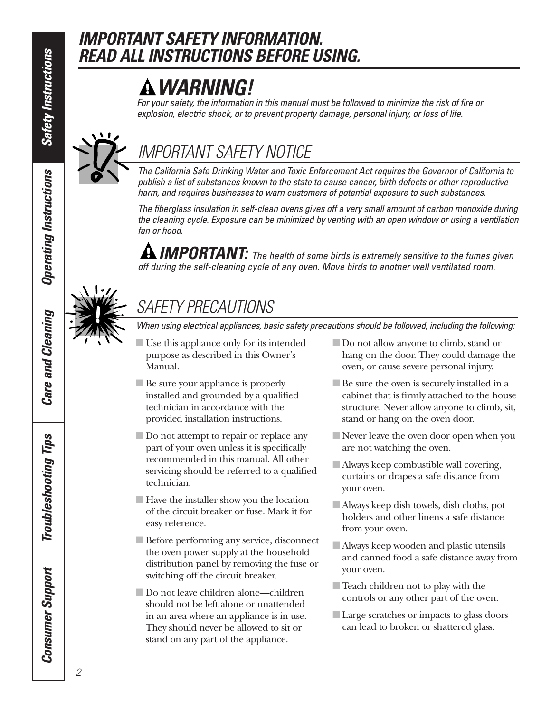*Operating Instructions*

**Operating Instructions** 

# <span id="page-1-0"></span>*IMPORTANT SAFETY INFORMATION. READ ALL INSTRUCTIONS BEFORE USING.*

# *WARNING!*

*For your safety, the information in this manual must be followed to minimize the risk of fire or explosion, electric shock, or to prevent property damage, personal injury, or loss of life.*



# *IMPORTANT SAFETY NOTICE*

*The California Safe Drinking Water and Toxic Enforcement Act requires the Governor of California to publish a list of substances known to the state to cause cancer, birth defects or other reproductive harm, and requires businesses to warn customers of potential exposure to such substances.*

*The fiberglass insulation in self-clean ovens gives off a very small amount of carbon monoxide during the cleaning cycle. Exposure can be minimized by venting with an open window or using a ventilation fan or hood.*

*IMPORTANT: The health of some birds is extremely sensitive to the fumes given off during the self-cleaning cycle of any oven. Move birds to another well ventilated room.*

# *SAFETY PRECAUTIONS*

*When using electrical appliances, basic safety precautions should be followed, including the following:*

- Use this appliance only for its intended purpose as described in this Owner's Manual.
- Be sure your appliance is properly installed and grounded by a qualified technician in accordance with the provided installation instructions.
- Do not attempt to repair or replace any part of your oven unless it is specifically recommended in this manual. All other servicing should be referred to a qualified technician.
- Have the installer show you the location of the circuit breaker or fuse. Mark it for easy reference.
- Before performing any service, disconnect the oven power supply at the household distribution panel by removing the fuse or switching off the circuit breaker.
- Do not leave children alone—children should not be left alone or unattended in an area where an appliance is in use. They should never be allowed to sit or stand on any part of the appliance.
- Do not allow anyone to climb, stand or hang on the door. They could damage the oven, or cause severe personal injury.
- Be sure the oven is securely installed in a cabinet that is firmly attached to the house structure. Never allow anyone to climb, sit, stand or hang on the oven door.
- Never leave the oven door open when you are not watching the oven.
- Always keep combustible wall covering, curtains or drapes a safe distance from your oven.
- Always keep dish towels, dish cloths, pot holders and other linens a safe distance from your oven.
- Always keep wooden and plastic utensils and canned food a safe distance away from your oven.
- Teach children not to play with the controls or any other part of the oven.
- Large scratches or impacts to glass doors can lead to broken or shattered glass.

**Care and Cleaning** *Care and Cleaning*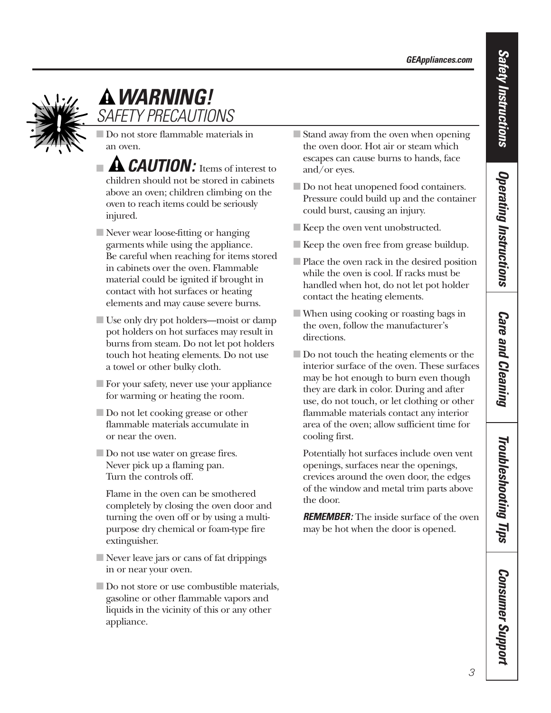

# *WARNING! SAFETY PRECAUTIONS*

■ Do not store flammable materials in an oven.

- **A CAUTION:** Items of interest to children should not be stored in cabinets above an oven; children climbing on the oven to reach items could be seriously injured.
- Never wear loose-fitting or hanging garments while using the appliance. Be careful when reaching for items stored in cabinets over the oven. Flammable material could be ignited if brought in contact with hot surfaces or heating elements and may cause severe burns.
- Use only dry pot holders—moist or damp pot holders on hot surfaces may result in burns from steam. Do not let pot holders touch hot heating elements. Do not use a towel or other bulky cloth.
- For your safety, never use your appliance for warming or heating the room.
- Do not let cooking grease or other flammable materials accumulate in or near the oven.
- Do not use water on grease fires. Never pick up a flaming pan. Turn the controls off.
	- Flame in the oven can be smothered completely by closing the oven door and turning the oven off or by using a multipurpose dry chemical or foam-type fire extinguisher.
- Never leave jars or cans of fat drippings in or near your oven.
- Do not store or use combustible materials, gasoline or other flammable vapors and liquids in the vicinity of this or any other appliance.
- Stand away from the oven when opening the oven door. Hot air or steam which escapes can cause burns to hands, face and/or eyes.
- Do not heat unopened food containers. Pressure could build up and the container could burst, causing an injury.
- Keep the oven vent unobstructed.
- Keep the oven free from grease buildup.
- Place the oven rack in the desired position while the oven is cool. If racks must be handled when hot, do not let pot holder contact the heating elements.
- When using cooking or roasting bags in the oven, follow the manufacturer's directions.
- Do not touch the heating elements or the interior surface of the oven. These surfaces may be hot enough to burn even though they are dark in color. During and after use, do not touch, or let clothing or other flammable materials contact any interior area of the oven; allow sufficient time for cooling first.

Potentially hot surfaces include oven vent openings, surfaces near the openings, crevices around the oven door, the edges of the window and metal trim parts above the door.

**REMEMBER:** The inside surface of the oven may be hot when the door is opened.

*Safety Instructions*

**Safety Instructions** 

**Care and Cleaning** *Care and Cleaning*

*Consumer Support*

**Consumer Support**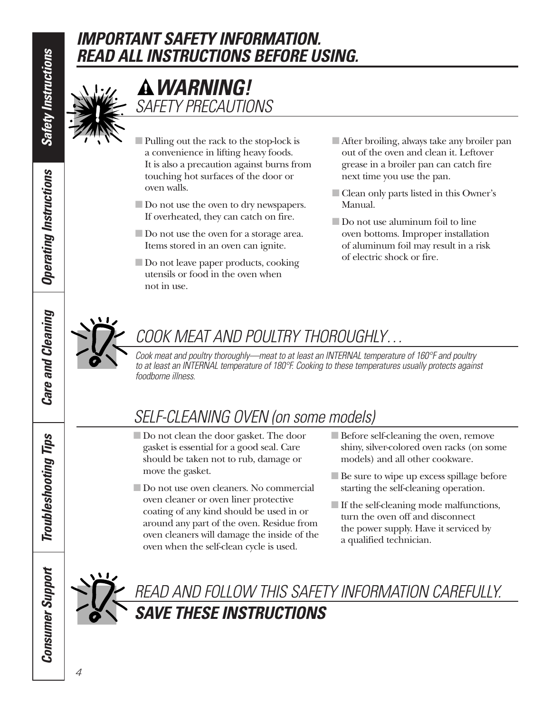# *IMPORTANT SAFETY INFORMATION. READ ALL INSTRUCTIONS BEFORE USING.*



# *WARNING! SAFETY PRECAUTIONS*

- Pulling out the rack to the stop-lock is a convenience in lifting heavy foods. It is also a precaution against burns from touching hot surfaces of the door or oven walls.
- Do not use the oven to dry newspapers. If overheated, they can catch on fire.
- Do not use the oven for a storage area. Items stored in an oven can ignite.
- Do not leave paper products, cooking utensils or food in the oven when not in use.
- After broiling, always take any broiler pan out of the oven and clean it. Leftover grease in a broiler pan can catch fire next time you use the pan.
- Clean only parts listed in this Owner's Manual.
- Do not use aluminum foil to line oven bottoms. Improper installation of aluminum foil may result in a risk of electric shock or fire.

# *COOK MEAT AND POULTRY THOROUGHLY…*

*Cook meat and poultry thoroughly—meat to at least an INTERNAL temperature of 160°F and poultry to at least an INTERNAL temperature of 180°F. Cooking to these temperatures usually protects against foodborne illness.*

# *SELF-CLEANING OVEN (on some models)*

- Do not clean the door gasket. The door gasket is essential for a good seal. Care should be taken not to rub, damage or move the gasket.
- Do not use oven cleaners. No commercial oven cleaner or oven liner protective coating of any kind should be used in or around any part of the oven. Residue from oven cleaners will damage the inside of the oven when the self-clean cycle is used.
- Before self-cleaning the oven, remove shiny, silver-colored oven racks (on some models) and all other cookware.
- Be sure to wipe up excess spillage before starting the self-cleaning operation.
- If the self-cleaning mode malfunctions, turn the oven off and disconnect the power supply. Have it serviced by a qualified technician.



4

# *READ AND FOLLOW THIS SAFETY INFORMATION CAREFULLY. SAVE THESE INSTRUCTIONS*

**Safety Instructions** *Safety Instructions* **Operating Instructions** *Operating Instructions*

*Care and Cleaning*

**Care and Cleaning** 

*Troubleshooting Tips*

**Troubleshooting Tips** 

*Consumer Support*

**Consumer Support**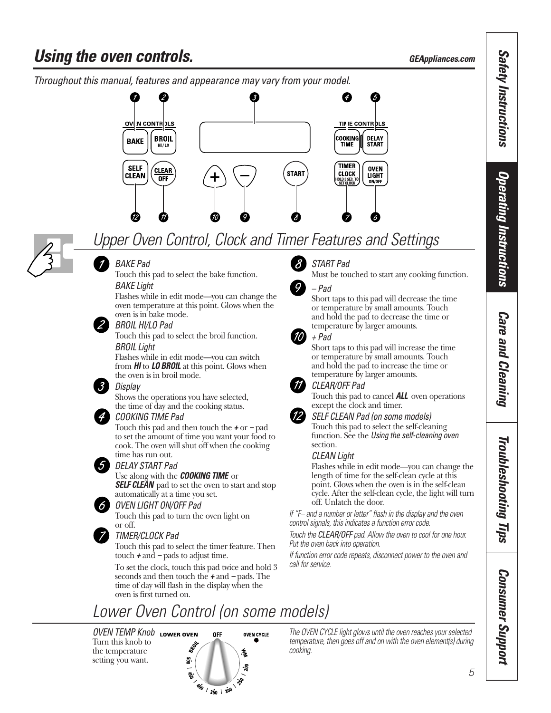# <span id="page-4-0"></span>**Using the oven controls. GEAPPLIAN CONSTRUSTION** *GEAppliances.com*



# *Upper Oven Control, Clock and Timer Features and Settings*



## *BAKE Pad*

Touch this pad to select the bake function. *BAKE Light*

Flashes while in edit mode—you can change the oven temperature at this point. Glows when the oven is in bake mode.

#### *BROIL HI/LO Pad*

Touch this pad to select the broil function. *BROIL Light*

Flashes while in edit mode—you can switch from *HI* to *LO BROIL* at this point. Glows when the oven is in broil mode.

#### *Display*

Shows the operations you have selected, the time of day and the cooking status.

#### *COOKING TIME Pad*

Touch this pad and then touch the *+* or *–* pad to set the amount of time you want your food to cook. The oven will shut off when the cooking time has run out.

## *DELAY START Pad*

#### Use along with the *COOKING TIME* or

*SELF CLEAN* pad to set the oven to start and stop automatically at a time you set.

#### *OVEN LIGHT ON/OFF Pad*

Touch this pad to turn the oven light on or off.

#### *TIMER/CLOCK Pad*

Touch this pad to select the timer feature. Then touch *+* and *–* pads to adjust time.

To set the clock, touch this pad twice and hold 3 seconds and then touch the *+* and *–* pads. The time of day will flash in the display when the oven is first turned on.



### *START Pad*

Must be touched to start any cooking function.



## *– Pad*

Short taps to this pad will decrease the time or temperature by small amounts. Touch and hold the pad to decrease the time or temperature by larger amounts.



## *+ Pad*

Short taps to this pad will increase the time or temperature by small amounts. Touch and hold the pad to increase the time or temperature by larger amounts.



#### *CLEAR/OFF Pad*

Touch this pad to cancel *ALL* oven operations except the clock and timer.

#### *SELF CLEAN Pad (on some models)*

Touch this pad to select the self-cleaning function. See the *Using the self-cleaning oven* section.

#### *CLEAN Light*

Flashes while in edit mode—you can change the length of time for the self-clean cycle at this point. Glows when the oven is in the self-clean cycle. After the self-clean cycle, the light will turn off. Unlatch the door.

*If "F– and a number or letter" flash in the display and the oven control signals, this indicates a function error code.*

*Touch the CLEAR/OFF pad. Allow the oven to cool for one hour. Put the oven back into operation.*

*If function error code repeats, disconnect power to the oven and call for service.*

# *Lower Oven Control (on some models)*

*OVEN TEMP Knob* Turn this knob to the temperature setting you want.



*The OVEN CYCLE light glows until the oven reaches your selected temperature, then goes off and on with the oven element(s) during cooking.*

*Safety Instructions*

**Safety Instructions** 

# Troubleshooting Tips *Troubleshooting Tips*

# *Consumer Support Consumer Support*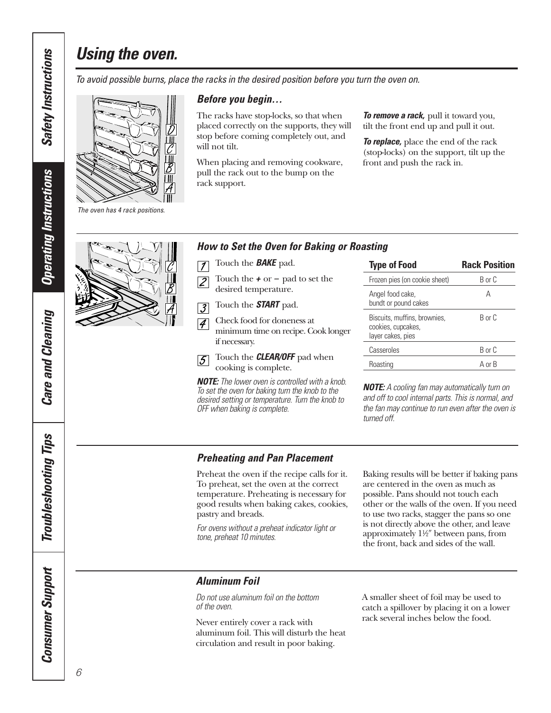# *Using the oven.*

*To avoid possible burns, place the racks in the desired position before you turn the oven on.*



*Before you begin…*

The racks have stop-locks, so that when placed correctly on the supports, they will stop before coming completely out, and will not tilt.

When placing and removing cookware, pull the rack out to the bump on the rack support.

*To remove a rack,* pull it toward you, tilt the front end up and pull it out.

*To replace,* place the end of the rack (stop-locks) on the support, tilt up the front and push the rack in.

*The oven has 4 rack positions.*

#### *How to Set the Oven for Baking or Roasting*

- Touch the *BAKE* pad.  $\overline{7}$
- Touch the *+* or *–* pad to set the  $\overline{\mathcal{Z}}$ desired temperature.
- Touch the *START* pad.  $\overline{3}$
- Check food for doneness at  $\vert \mathcal{A} \vert$ minimum time on recipe. Cook longer if necessary.
- Touch the *CLEAR/OFF* pad when  $|5|$ cooking is complete.

*NOTE: The lower oven is controlled with a knob. To set the oven for baking turn the knob to the desired setting or temperature. Turn the knob to OFF when baking is complete.* 

| <b>Type of Food</b>                                                     | <b>Rack Position</b> |
|-------------------------------------------------------------------------|----------------------|
| Frozen pies (on cookie sheet)                                           | R or C               |
| Angel food cake,<br>bundt or pound cakes                                | А                    |
| Biscuits, muffins, brownies,<br>cookies, cupcakes,<br>layer cakes, pies | R or C               |
| Casseroles                                                              | R or C               |
| Roasting                                                                | A or B               |

*NOTE: A cooling fan may automatically turn on and off to cool internal parts. This is normal, and the fan may continue to run even after the oven is turned off.*

### *Preheating and Pan Placement*

Preheat the oven if the recipe calls for it. To preheat, set the oven at the correct temperature. Preheating is necessary for good results when baking cakes, cookies, pastry and breads.

*For ovens without a preheat indicator light or tone, preheat 10 minutes.*

Baking results will be better if baking pans are centered in the oven as much as possible. Pans should not touch each other or the walls of the oven. If you need to use two racks, stagger the pans so one is not directly above the other, and leave approximately  $1\frac{1}{2}$ " between pans, from the front, back and sides of the wall.

#### *Aluminum Foil*

*Do not use aluminum foil on the bottom of the oven.*

Never entirely cover a rack with aluminum foil. This will disturb the heat circulation and result in poor baking.

A smaller sheet of foil may be used to catch a spillover by placing it on a lower rack several inches below the food.

**Safety Instructions** *Safety Instructions*

**Operating Instructions** *Operating Instructions*

**Care and Cleaning** *Care and Cleaning*

**Troubleshooting Tips** *Troubleshooting Tips* **Consumer Support** *Consumer Support*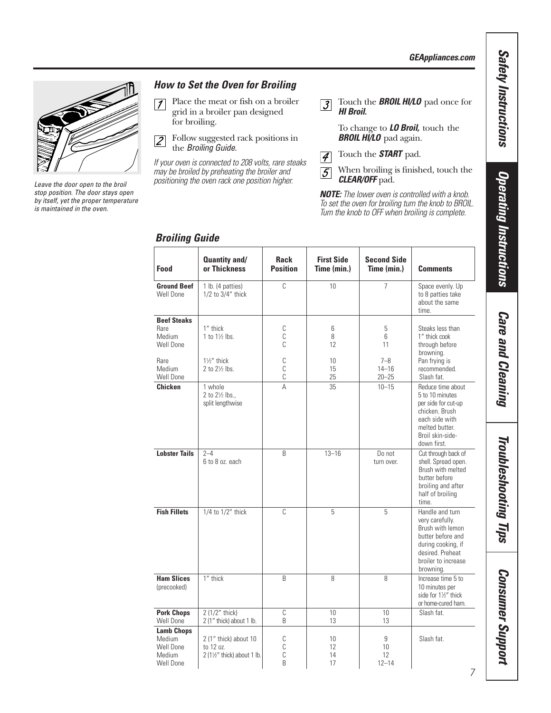*GEAppliances.com* 



*Leave the door open to the broil stop position. The door stays open by itself, yet the proper temperature is maintained in the oven.*

#### *How to Set the Oven for Broiling*

- Place the meat or fish on a broiler  $\sqrt{ }$ grid in a broiler pan designed for broiling.
- Follow suggested rack positions in  $\overline{2}$ the *Broiling Guide.*

*If your oven is connected to 208 volts, rare steaks may be broiled by preheating the broiler and positioning the oven rack one position higher.*

Touch the *BROIL HI/LO* pad once for  $\sqrt{3}$ *HI Broil.*

> To change to *LO Broil,* touch the *BROIL HI/LO* pad again.

- Touch the *START* pad.  $\overline{4}$
- When broiling is finished, touch the  $\overline{5}$ *CLEAR/OFF* pad.

*NOTE: The lower oven is controlled with a knob. To set the oven for broiling turn the knob to BROIL. Turn the knob to OFF when broiling is complete.*

| Food                                                            | Quantity and/<br>or Thickness                                              | <b>Rack</b><br><b>Position</b> | <b>First Side</b><br>Time (min.) | <b>Second Side</b><br>Time (min.) | <b>Comments</b>                                                                                                                                           |
|-----------------------------------------------------------------|----------------------------------------------------------------------------|--------------------------------|----------------------------------|-----------------------------------|-----------------------------------------------------------------------------------------------------------------------------------------------------------|
| <b>Ground Beef</b><br>Well Done                                 | 1 lb. (4 patties)<br>1/2 to 3/4" thick                                     | C                              | 10                               | $\overline{7}$                    | Space evenly. Up<br>to 8 patties take<br>about the same<br>time.                                                                                          |
| <b>Beef Steaks</b><br>Rare<br>Medium<br>Well Done               | 1" thick<br>1 to $1\frac{1}{2}$ lbs.                                       | С<br>$\mathbb C$<br>C          | 6<br>8<br>12                     | 5<br>6<br>11                      | Steaks less than<br>1" thick cook<br>through before<br>browning.                                                                                          |
| Rare<br>Medium<br>Well Done                                     | $1\frac{1}{2}$ " thick<br>2 to 21/2 lbs.                                   | $\mathbb C$<br>C<br>C          | 10<br>15<br>25                   | $7 - 8$<br>$14 - 16$<br>$20 - 25$ | Pan frying is<br>recommended.<br>Slash fat.                                                                                                               |
| Chicken                                                         | 1 whole<br>2 to 21/2 lbs.,<br>split lengthwise                             | Α                              | 35                               | $10 - 15$                         | Reduce time about<br>5 to 10 minutes<br>per side for cut-up<br>chicken. Brush<br>each side with<br>melted butter.<br>Broil skin-side-<br>down first.      |
| <b>Lobster Tails</b>                                            | $2 - 4$<br>6 to 8 oz. each                                                 | B                              | $13 - 16$                        | Do not<br>turn over.              | Cut through back of<br>shell. Spread open.<br>Brush with melted<br>butter before<br>broiling and after<br>half of broiling<br>time.                       |
| <b>Fish Fillets</b>                                             | 1/4 to 1/2" thick                                                          | C                              | 5                                | 5                                 | Handle and turn<br>very carefully.<br>Brush with lemon<br>butter before and<br>during cooking, if<br>desired. Preheat<br>broiler to increase<br>browning. |
| <b>Ham Slices</b><br>(precooked)                                | 1" thick                                                                   | B                              | 8                                | 8                                 | Increase time 5 to<br>10 minutes per<br>side for 11/2" thick<br>or home-cured ham.                                                                        |
| <b>Pork Chops</b><br>Well Done                                  | 2 (1/2" thick)<br>2 (1" thick) about 1 lb.                                 | C<br>B                         | 10<br>13                         | 10<br>13                          | Slash fat.                                                                                                                                                |
| <b>Lamb Chops</b><br>Medium<br>Well Done<br>Medium<br>Well Done | 2 (1" thick) about 10<br>to 12 oz.<br>$2(1\frac{1}{2})$ thick) about 1 lb. | С<br>С<br>C<br>B               | 10<br>12<br>14<br>17             | 9<br>10<br>12<br>$12 - 14$        | Slash fat.                                                                                                                                                |

#### *Broiling Guide*

**Troubleshooting Tips** *Troubleshooting Tips*

**Consumer Support** *Consumer Support*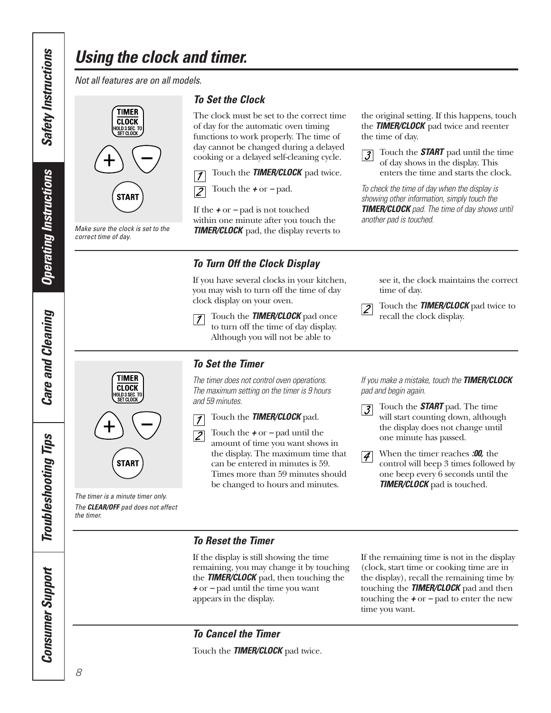# <span id="page-7-0"></span>*Using the clock and timer.*

*Not all features are on all models.*

# **TIMER CLOCK** IOLD 3 SEC. TO<br>Set Clock **START**

*Make sure the clock is set to the*

*correct time of day.*

#### *To Set the Clock*

The clock must be set to the correct time of day for the automatic oven timing functions to work properly. The time of day cannot be changed during a delayed cooking or a delayed self-cleaning cycle.

Touch the *TIMER/CLOCK* pad twice.  $\overline{1}$ 



If the *+* or *–* pad is not touched within one minute after you touch the *TIMER/CLOCK* pad, the display reverts to

### *To Turn Off the Clock Display*

If you have several clocks in your kitchen, you may wish to turn off the time of day clock display on your oven.

 $\vert$  1

Touch the *TIMER/CLOCK* pad once to turn off the time of day display. Although you will not be able to

see it, the clock maintains the correct time of day.

the original setting. If this happens, touch the *TIMER/CLOCK* pad twice and reenter

> Touch the *START* pad until the time of day shows in the display. This enters the time and starts the clock.

*To check the time of day when the display is showing other information, simply touch the TIMER/CLOCK pad. The time of day shows until*

the time of day.

 $|\mathcal{J}|$ 

*another pad is touched.*

Touch the *TIMER/CLOCK* pad twice to recall the clock display.



*The timer is a minute timer only. The CLEAR/OFF pad does not affect the timer.*

**START** 

#### *To Set the Timer*

*The timer does not control oven operations. The maximum setting on the timer is 9 hours and 59 minutes.*



Touch the *TIMER/CLOCK* pad.

Touch the *+* or *–* pad until the amount of time you want shows in the display. The maximum time that can be entered in minutes is 59. Times more than 59 minutes should be changed to hours and minutes.

*If you make a mistake, touch the TIMER/CLOCK pad and begin again.*

- Touch the *START* pad. The time  $|\mathcal{J}|$ will start counting down, although the display does not change until one minute has passed.
- When the timer reaches *:00,* the  $|4|$ control will beep 3 times followed by one beep every 6 seconds until the *TIMER/CLOCK* pad is touched.

#### *To Reset the Timer*

If the display is still showing the time remaining, you may change it by touching the *TIMER/CLOCK* pad, then touching the *+* or *–* pad until the time you want appears in the display.

If the remaining time is not in the display (clock, start time or cooking time are in the display), recall the remaining time by touching the *TIMER/CLOCK* pad and then touching the *+* or *–* pad to enter the new time you want.

### *To Cancel the Timer*

Touch the *TIMER/CLOCK* pad twice.

**Operating Instructions** *Operating Instructions* **Care and Cleaning** *Care and Cleaning*

**Troubleshooting Tips** *Troubleshooting Tips* **Consumer Support** *Consumer Support*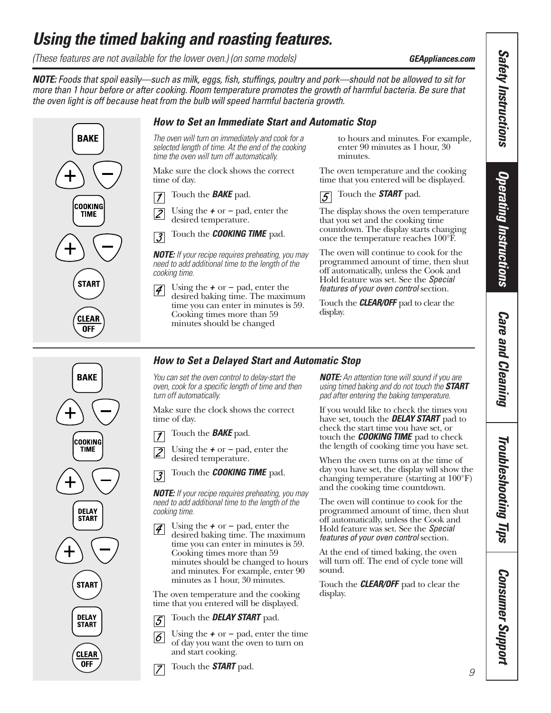# <span id="page-8-0"></span>*Using the timed baking and roasting features.*

*(These features are not available for the lower oven.) (on some models)* **GEAppliances.com** *GEAppliances.com* 

*NOTE: Foods that spoil easily—such as milk, eggs, fish, stuffings, poultry and pork—should not be allowed to sit for more than 1 hour before or after cooking. Room temperature promotes the growth of harmful bacteria. Be sure that the oven light is off because heat from the bulb will speed harmful bacteria growth.*

#### *How to Set an Immediate Start and Automatic Stop*

*The oven will turn on immediately and cook for a selected length of time. At the end of the cooking time the oven will turn off automatically.*

Make sure the clock shows the correct time of day.

Touch the *BAKE* pad.  $\overline{\mathcal{I}}$ 

Using the *+* or *–* pad, enter the  $\sqrt{2}$ desired temperature.

Touch the *COOKING TIME* pad.  $\overline{3}$ 

*NOTE: If your recipe requires preheating, you may need to add additional time to the length of the cooking time.*

Using the *+* or *–* pad, enter the  $|\mathcal{A}|$ desired baking time. The maximum time you can enter in minutes is 59. Cooking times more than 59 minutes should be changed

to hours and minutes. For example, enter 90 minutes as 1 hour, 30 minutes.

The oven temperature and the cooking time that you entered will be displayed.



The display shows the oven temperature that you set and the cooking time countdown. The display starts changing once the temperature reaches 100°F.

The oven will continue to cook for the programmed amount of time, then shut off automatically, unless the Cook and Hold feature was set. See the *Special features of your oven control* section.

Touch the *CLEAR/OFF* pad to clear the display.

### *How to Set a Delayed Start and Automatic Stop*

*You can set the oven control to delay-start the oven, cook for a specific length of time and then turn off automatically.*

Make sure the clock shows the correct time of day.

Touch the *BAKE* pad.  $\mathcal I$ 

Using the *+* or *–* pad, enter the  $|2|$ desired temperature.

Touch the *COOKING TIME* pad.  $\overline{3}$ 

*NOTE: If your recipe requires preheating, you may need to add additional time to the length of the cooking time.*

Using the *+* or *–* pad, enter the  $\vert \mathcal{A} \vert$ desired baking time. The maximum time you can enter in minutes is 59. Cooking times more than 59 minutes should be changed to hours and minutes. For example, enter 90 minutes as 1 hour, 30 minutes.

The oven temperature and the cooking time that you entered will be displayed.

Touch the *DELAY START* pad.  $\overline{5}$ 

- Using the *+* or *–* pad, enter the time  $|6|$ of day you want the oven to turn on and start cooking.
- Touch the *START* pad.  $\overline{7}$

*NOTE: An attention tone will sound if you are using timed baking and do not touch the START pad after entering the baking temperature.*

If you would like to check the times you have set, touch the *DELAY START* pad to check the start time you have set, or touch the *COOKING TIME* pad to check the length of cooking time you have set.

When the oven turns on at the time of day you have set, the display will show the changing temperature (starting at 100°F) and the cooking time countdown.

The oven will continue to cook for the programmed amount of time, then shut off automatically, unless the Cook and Hold feature was set. See the *Special features of your oven control* section.

At the end of timed baking, the oven will turn off. The end of cycle tone will sound.

Touch the *CLEAR/OFF* pad to clear the display.



**BAKE** 

**COOKING** 

**TIME** 

**START** 

**CLEAR** 0FF

> Troubleshooting Tips *Troubleshooting Tips*

*Care and Cleaning*

**Care and Cleaning** 

*Consumer Support Consumer Support* 

**Safety Instructions** *Safety Instructions*

*Operating Instructions*

**Operating Instructions**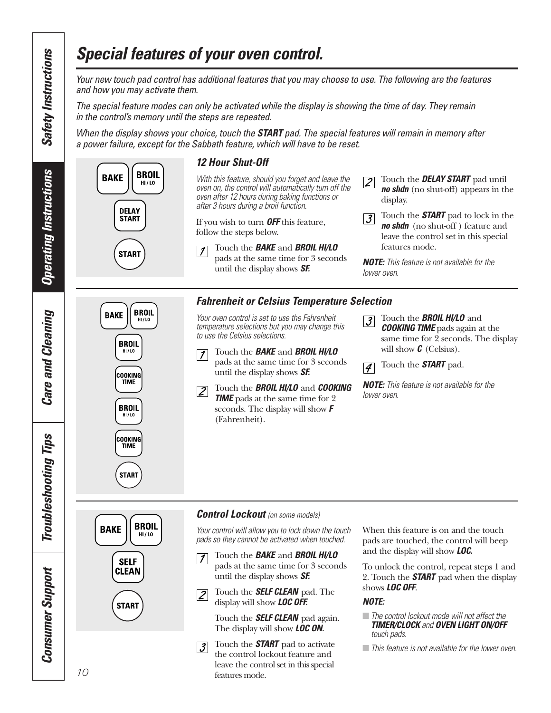# *Special features of your oven control.*

*Your new touch pad control has additional features that you may choose to use. The following are the features and how you may activate them.* 

*The special feature modes can only be activated while the display is showing the time of day. They remain in the control's memory until the steps are repeated.* 

*When the display shows your choice, touch the START pad. The special features will remain in memory after a power failure, except for the Sabbath feature, which will have to be reset.*



<span id="page-9-0"></span>**Safety Instructions** *Safety Instructions*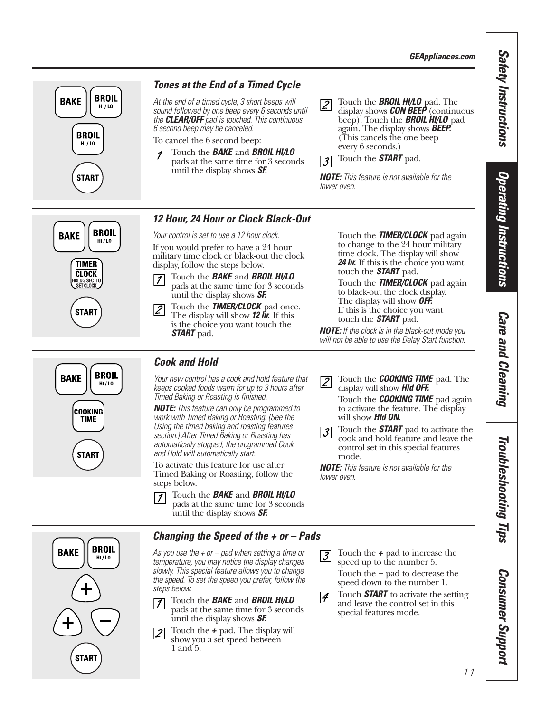*GEAppliances.com*

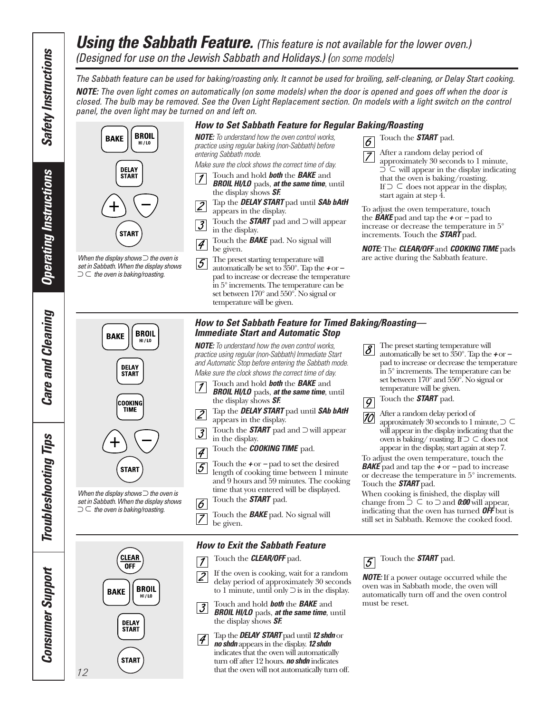## <span id="page-11-0"></span>*Using the Sabbath Feature.* (This feature is not available for the lower oven.) *(Designed for use on the Jewish Sabbath and Holidays.) (on some models)*

*The Sabbath feature can be used for baking/roasting only. It cannot be used for broiling, self-cleaning, or Delay Start cooking. NOTE: The oven light comes on automatically (on some models) when the door is opened and goes off when the door is closed. The bulb may be removed. See the Oven Light Replacement section. On models with a light switch on the control panel, the oven light may be turned on and left on.*

**BROIL BAKE**  $HI / LO$ **DELAY START START** 

*When the display shows* ⊃ *the oven is set in Sabbath. When the display shows* ⊃ <sup>⊃</sup>*the oven is baking/roasting.*

*How to Set Sabbath Feature for Regular Baking/Roasting NOTE: To understand how the oven control works, practice using regular baking (non-Sabbath) before entering Sabbath mode.*

*Make sure the clock shows the correct time of day.*

- Touch and hold *both* the *BAKE* and  $|1|$ *BROIL HI/LO* pads, *at the same time*, until the display shows *SF.*
- Tap the *DELAY START* pad until *SAb bAtH*  $|2|$ appears in the display.
- Touch the *START* pad and ⊃ will appear  $|\mathcal{J}|$ in the display.
- Touch the *BAKE* pad. No signal will  $|\mathcal{A}|$ be given.
- The preset starting temperature will  $|5|$ automatically be set to 350°. Tap the *+* or *–* pad to increase or decrease the temperature in 5° increments. The temperature can be set between 170° and 550°. No signal or temperature will be given.

Touch the *START* pad.  $\overline{6}$ 

> After a random delay period of approximately 30 seconds to 1 minute, ⊃ will appear in the display indicating ⊃ that the oven is baking/roasting. If  $\supset \subset$  does not appear in the display, start again at step 4.

To adjust the oven temperature, touch the *BAKE* pad and tap the *+* or *–* pad to increase or decrease the temperature in 5° increments. Touch the *START* pad.

*NOTE:* The *CLEAR/OFF* and *COOKING TIME* pads are active during the Sabbath feature.

> The preset starting temperature will automatically be set to 350°. Tap the *+* or *–* pad to increase or decrease the temperature in 5° increments. The temperature can be set between 170° and 550°. No signal or

temperature will be given. Touch the *START* pad.

After a random delay period of

When cooking is finished, the display will change from  $\supset \subseteq$  to  $\supset$  and **0:00** will appear, indicating that the oven has turned *OFF* but is still set in Sabbath. Remove the cooked food.

approximately 30 seconds to 1 minute, ⊃ ⊃will appear in the display indicating that the oven is baking/ roasting. If ⊃ ⊂ does not appear in the display, start again at step 7. To adjust the oven temperature, touch the *BAKE* pad and tap the *+* or *–* pad to increase or decrease the temperature in 5° increments.

**BROIL BAKE**  $HI/LO$ **DELAY START**  $\vert$  1 COOKING **TIME**  $|2|$  $|\mathcal{J}|$  $\overline{4}$ 



*When the display shows* ⊃ *the oven is set in Sabbath. When the display shows* ⊃ <sup>⊃</sup>*the oven is baking/roasting.*

> **CLEAR OFF BROIL BAKE**  $HI/L0$ **DELAY START START**

#### *How to Set Sabbath Feature for Timed Baking/Roasting— Immediate Start and Automatic Stop*

*NOTE: To understand how the oven control works, practice using regular (non-Sabbath) Immediate Start and Automatic Stop before entering the Sabbath mode. Make sure the clock shows the correct time of day.*

Touch and hold *both* the *BAKE* and

- *BROIL HI/LO* pads, *at the same time*, until the display shows *SF.*
- Tap the *DELAY START* pad until *SAb bAtH* appears in the display.
- Touch the *START* pad and ⊃ will appear in the display.
- Touch the *COOKING TIME* pad.
- Touch the *+* or *–* pad to set the desired  $|5|$ length of cooking time between 1 minute and 9 hours and 59 minutes. The cooking time that you entered will be displayed.

Touch the *START* pad. 6

Touch the *BAKE* pad. No signal will  $|7|$ be given.

#### *How to Exit the Sabbath Feature*

- Touch the *CLEAR/OFF* pad.  $\overline{\mathcal{I}}$
- If the oven is cooking, wait for a random  $|2|$ delay period of approximately 30 seconds to 1 minute, until only ⊃ is in the display.
- Touch and hold *both* the *BAKE* and  $|\mathcal{J}|$ *BROIL HI/LO* pads, *at the same time*, until the display shows *SF.*
- Tap the*DELAY START* pad until *12 shdn* or  $|4|$ *no shdn* appears in the display. *12 shdn* indicates that the oven will automatically turn off after 12 hours. *no shdn* indicates that the oven will not automatically turn off.

Touch the *START* pad.  $5$ 

Touch the *START* pad.

 $|\mathcal{S}|$ 

 $\overline{g}$ 

 $|10|$ 

*NOTE:* If a power outage occurred while the oven was in Sabbath mode, the oven will automatically turn off and the oven control must be reset.

*Operating Instructions*

**Operating Instructions** 

*Care and Cleaning*

**Care and Cleaning** 

*Troubleshooting Tips*

Troubleshooting Tips

*Consumer Support*

**Consumer Support**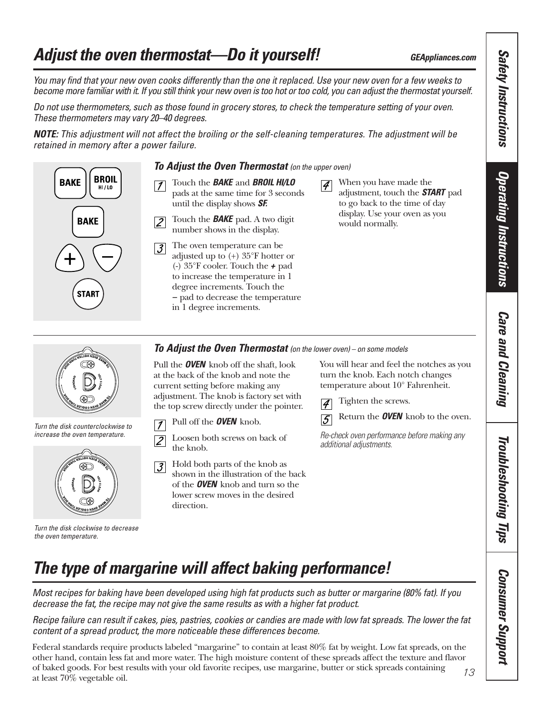# <span id="page-12-0"></span>*Adjust the oven thermostat—Do it yourself! GEAppliances.com*

*You may find that your new oven cooks differently than the one it replaced. Use your new oven for a few weeks to become more familiar with it. If you still think your new oven is too hot or too cold, you can adjust the thermostat yourself.* 

*Do not use thermometers, such as those found in grocery stores, to check the temperature setting of your oven. These thermometers may vary 20–40 degrees.*

*NOTE: This adjustment will not affect the broiling or the self-cleaning temperatures. The adjustment will be retained in memory after a power failure.*



#### *To Adjust the Oven Thermostat (on the upper oven)*

- Touch the *BAKE* and *BROIL HI/LO* pads at the same time for 3 seconds until the display shows *SF.*
- Touch the *BAKE* pad. A two digit  $\overline{2}$ number shows in the display.
- The oven temperature can be  $\overline{3}$ adjusted up to (+) 35°F hotter or (-) 35°F cooler. Touch the *+* pad to increase the temperature in 1 degree increments. Touch the *–* pad to decrease the temperature in 1 degree increments.
- When you have made the  $\vert\mathcal{A}\vert$ adjustment, touch the *START* pad to go back to the time of day display. Use your oven as you would normally.

**Care and Cleaning** *Care and Cleaning*

*Troubleshooting Tips*

**Troubleshooting Tips** 

*Consumer Support*

**Consumer Support** 

*Safety Instructions*

**Safety Instructions** 

*Operating Instructions*

**Operating Instructions** 



*Turn the disk counterclockwise to increase the oven temperature.*



*Turn the disk clockwise to decrease the oven temperature.*

*To Adjust the Oven Thermostat (on the lower oven) – on some models*

Pull the *OVEN* knob off the shaft, look at the back of the knob and note the current setting before making any adjustment. The knob is factory set with the top screw directly under the pointer.

- Pull off the *OVEN* knob.  $\overline{7}$
- Loosen both screws on back of  $\overline{Z}$ the knob.
- Hold both parts of the knob as  $\overline{3}$ shown in the illustration of the back of the *OVEN* knob and turn so the lower screw moves in the desired direction.

You will hear and feel the notches as you turn the knob. Each notch changes temperature about 10° Fahrenheit.

Tighten the screws.  $\vert\mathcal{A}\vert$ 



Return the *OVEN* knob to the oven.

*Re-check oven performance before making any additional adjustments.*

# *The type of margarine will affect baking performance!*

*Most recipes for baking have been developed using high fat products such as butter or margarine (80% fat). If you decrease the fat, the recipe may not give the same results as with a higher fat product.*

*Recipe failure can result if cakes, pies, pastries, cookies or candies are made with low fat spreads. The lower the fat content of a spread product, the more noticeable these differences become.* 

Federal standards require products labeled "margarine" to contain at least 80% fat by weight. Low fat spreads, on the other hand, contain less fat and more water. The high moisture content of these spreads affect the texture and flavor of baked goods. For best results with your old favorite recipes, use margarine, butter or stick spreads containing at least 70% vegetable oil.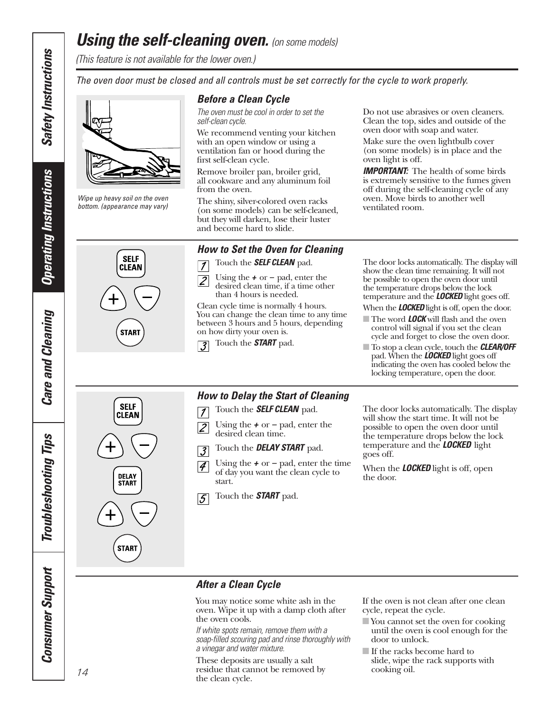# *Using the self-cleaning oven. (on some models)*

*(This feature is not available for the lower oven.)* 

*The oven door must be closed and all controls must be set correctly for the cycle to work properly.*

*Wipe up heavy soil on the oven bottom. (appearance may vary)*

**SELF** 

**CLEAN** 

**START** 

**SELF** 

CLEAN

**DELAY START** 

**START** 

#### *Before a Clean Cycle*

*The oven must be cool in order to set the self-clean cycle.* 

We recommend venting your kitchen with an open window or using a ventilation fan or hood during the first self-clean cycle.

Remove broiler pan, broiler grid, all cookware and any aluminum foil from the oven.

The shiny, silver-colored oven racks (on some models) can be self-cleaned, but they will darken, lose their luster and become hard to slide.

#### *How to Set the Oven for Cleaning*

Touch the *SELF CLEAN* pad.  $\sqrt{ }$ 

Using the *+* or *–* pad, enter the  $|2$ desired clean time, if a time other than 4 hours is needed.

Clean cycle time is normally 4 hours. You can change the clean time to any time between 3 hours and 5 hours, depending on how dirty your oven is.

Touch the *START* pad.  $\overline{3}$ 

## *How to Delay the Start of Cleaning*

- Touch the *SELF CLEAN* pad.  $\overline{7}$
- Using the *+* or *–* pad, enter the  $\overline{\mathcal{Z}}$ desired clean time.
- Touch the *DELAY START* pad.  $\overline{3}$
- Using the *+* or *–* pad, enter the time  $|4|$ of day you want the clean cycle to start.
- Touch the *START* pad.  $\sqrt{5}$

#### Do not use abrasives or oven cleaners. Clean the top, sides and outside of the oven door with soap and water.

Make sure the oven lightbulb cover (on some models) is in place and the oven light is off.

**IMPORTANT:** The health of some birds is extremely sensitive to the fumes given off during the self-cleaning cycle of any oven. Move birds to another well ventilated room.

The door locks automatically. The display will show the clean time remaining. It will not be possible to open the oven door until the temperature drops below the lock temperature and the *LOCKED* light goes off.

When the *LOCKED* light is off, open the door.

- The word **LOCK** will flash and the oven control will signal if you set the clean cycle and forget to close the oven door.
- To stop a clean cycle, touch the *CLEAR/OFF* pad. When the *LOCKED* light goes off indicating the oven has cooled below the locking temperature, open the door.

The door locks automatically. The display will show the start time. It will not be possible to open the oven door until the temperature drops below the lock temperature and the *LOCKED* light goes off.

When the *LOCKED* light is off, open the door.

#### *After a Clean Cycle*

You may notice some white ash in the oven. Wipe it up with a damp cloth after the oven cools.

*If white spots remain, remove them with a soap-filled scouring pad and rinse thoroughly with a vinegar and water mixture.* 

These deposits are usually a salt residue that cannot be removed by the clean cycle.

If the oven is not clean after one clean cycle, repeat the cycle.

- You cannot set the oven for cooking until the oven is cool enough for the door to unlock.
- If the racks become hard to
- slide, wipe the rack supports with cooking oil.

*Safety Instructions*

<span id="page-13-0"></span>**Safety Instructions** 

**Care and Cleaning** *Care and Cleaning*

**Troubleshooting Tips** *Troubleshooting Tips* **Consumer Support** *Consumer Support*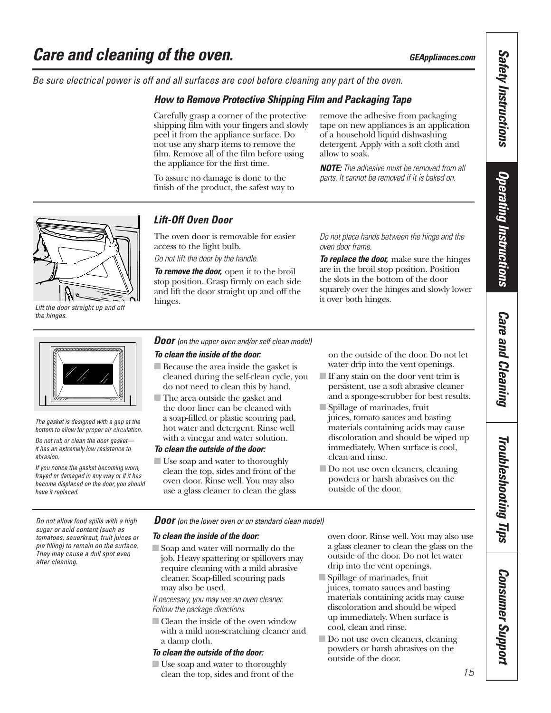<span id="page-14-0"></span>*Be sure electrical power is off and all surfaces are cool before cleaning any part of the oven.*

#### *How to Remove Protective Shipping Film and Packaging Tape*

Carefully grasp a corner of the protective shipping film with your fingers and slowly peel it from the appliance surface. Do not use any sharp items to remove the film. Remove all of the film before using the appliance for the first time.

To assure no damage is done to the finish of the product, the safest way to remove the adhesive from packaging tape on new appliances is an application of a household liquid dishwashing detergent. Apply with a soft cloth and allow to soak.

*NOTE: The adhesive must be removed from all parts. It cannot be removed if it is baked on.*



*Lift the door straight up and off the hinges.*



*The gasket is designed with a gap at the bottom to allow for proper air circulation.*

*Do not rub or clean the door gasket it has an extremely low resistance to abrasion.* 

*If you notice the gasket becoming worn, frayed or damaged in any way or if it has become displaced on the door, you should have it replaced.*

#### *Lift-Off Oven Door*

The oven door is removable for easier access to the light bulb.

*Do not lift the door by the handle.* 

*To remove the door,* open it to the broil stop position. Grasp firmly on each side and lift the door straight up and off the hinges.

*Do not place hands between the hinge and the oven door frame.*

*To replace the door,* make sure the hinges are in the broil stop position. Position the slots in the bottom of the door squarely over the hinges and slowly lower it over both hinges.

*Door (on the upper oven and/or self clean model)*

#### *To clean the inside of the door:*

- Because the area inside the gasket is cleaned during the self-clean cycle, you do not need to clean this by hand.
- The area outside the gasket and the door liner can be cleaned with a soap-filled or plastic scouring pad, hot water and detergent. Rinse well with a vinegar and water solution.

#### *To clean the outside of the door:*

■ Use soap and water to thoroughly clean the top, sides and front of the oven door. Rinse well. You may also use a glass cleaner to clean the glass

on the outside of the door. Do not let water drip into the vent openings.

- If any stain on the door vent trim is persistent, use a soft abrasive cleaner and a sponge-scrubber for best results.
- Spillage of marinades, fruit juices, tomato sauces and basting materials containing acids may cause discoloration and should be wiped up immediately. When surface is cool, clean and rinse.
- Do not use oven cleaners, cleaning powders or harsh abrasives on the outside of the door.

*sugar or acid content (such as tomatoes, sauerkraut, fruit juices or pie filling) to remain on the surface. They may cause a dull spot even after cleaning.*

#### *Do not allow food spills with a high Door (on the lower oven or on standard clean model)*

#### *To clean the inside of the door:*

■ Soap and water will normally do the job. Heavy spattering or spillovers may require cleaning with a mild abrasive cleaner. Soap-filled scouring pads may also be used.

*If necessary, you may use an oven cleaner. Follow the package directions.* 

■ Clean the inside of the oven window with a mild non-scratching cleaner and a damp cloth.

#### *To clean the outside of the door:*

■ Use soap and water to thoroughly clean the top, sides and front of the oven door. Rinse well. You may also use a glass cleaner to clean the glass on the outside of the door. Do not let water drip into the vent openings.

- Spillage of marinades, fruit juices, tomato sauces and basting materials containing acids may cause discoloration and should be wiped up immediately. When surface is cool, clean and rinse.
- Do not use oven cleaners, cleaning powders or harsh abrasives on the outside of the door.

**Safety Instructions** *Safety Instructions*

Troubleshooting Tips *Troubleshooting Tips*

*Consumer Support*

**Consumer Support**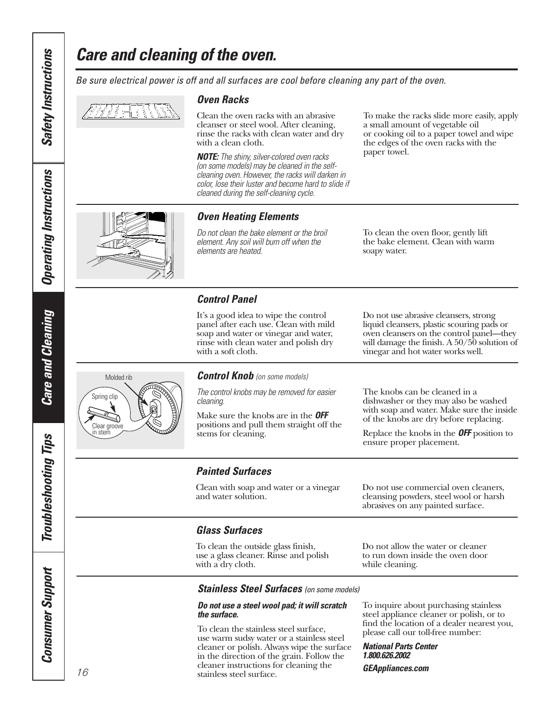# *Care and cleaning of the oven.*

#### *Oven Racks*

Clean the oven racks with an abrasive cleanser or steel wool. After cleaning, rinse the racks with clean water and dry with a clean cloth.

*Be sure electrical power is off and all surfaces are cool before cleaning any part of the oven.*

*NOTE: The shiny, silver-colored oven racks (on some models) may be cleaned in the selfcleaning oven. However, the racks will darken in color, lose their luster and become hard to slide if cleaned during the self-cleaning cycle.*

To make the racks slide more easily, apply a small amount of vegetable oil or cooking oil to a paper towel and wipe the edges of the oven racks with the paper towel.



#### *Oven Heating Elements*

*Do not clean the bake element or the broil element. Any soil will burn off when the elements are heated.* 

To clean the oven floor, gently lift the bake element. Clean with warm soapy water.

#### *Control Panel*

It's a good idea to wipe the control panel after each use. Clean with mild soap and water or vinegar and water, rinse with clean water and polish dry with a soft cloth.

Do not use abrasive cleansers, strong liquid cleansers, plastic scouring pads or oven cleansers on the control panel—they will damage the finish. A 50/50 solution of vinegar and hot water works well.



*Control Knob (on some models)*

*The control knobs may be removed for easier cleaning.*

Make sure the knobs are in the *OFF* positions and pull them straight off the stems for cleaning.

The knobs can be cleaned in a dishwasher or they may also be washed with soap and water. Make sure the inside of the knobs are dry before replacing.

Replace the knobs in the *OFF* position to ensure proper placement.

#### *Painted Surfaces*

Clean with soap and water or a vinegar and water solution.

Do not use commercial oven cleaners, cleansing powders, steel wool or harsh abrasives on any painted surface.

#### *Glass Surfaces*

To clean the outside glass finish, use a glass cleaner. Rinse and polish with a dry cloth.

Do not allow the water or cleaner to run down inside the oven door while cleaning.

#### *Stainless Steel Surfaces (on some models)*

#### *Do not use a steel wool pad; it will scratch the surface.*

To clean the stainless steel surface, use warm sudsy water or a stainless steel cleaner or polish. Always wipe the surface in the direction of the grain. Follow the cleaner instructions for cleaning the stainless steel surface.

To inquire about purchasing stainless steel appliance cleaner or polish, or to find the location of a dealer nearest you, please call our toll-free number:

*National Parts Center 1.800.626.2002 GEAppliances.com*

# **Care and Cleaning** *Care and Cleaning*

*Safety Instructions*

<span id="page-15-0"></span>**Safety Instructions** 

*Operating Instructions*

**Operating Instructions** 

# **Troubleshooting Tips** *Troubleshooting Tips* **Consumer Support** *Consumer Support*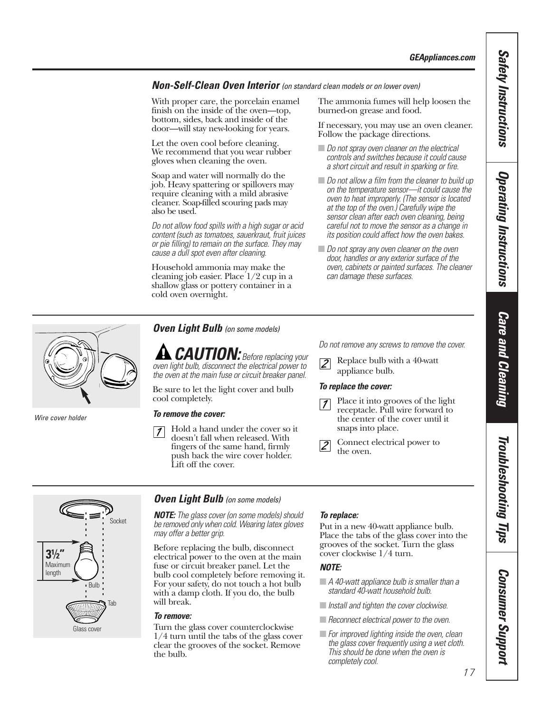*Safety Instructions*

**Safety Instructions** 

*Operating Instructions*

**Operating Instructions** 

*Care and Cleaning*

**Care and Cleaning** 

*Troubleshooting Tips*

Troubleshooting Tips

*Consumer Support*

**Consumer Support** 

#### <span id="page-16-0"></span>*Non-Self-Clean Oven Interior (on standard clean models or on lower oven)*

With proper care, the porcelain enamel finish on the inside of the oven—top, bottom, sides, back and inside of the door—will stay new-looking for years.

Let the oven cool before cleaning. We recommend that you wear rubber gloves when cleaning the oven.

Soap and water will normally do the job. Heavy spattering or spillovers may require cleaning with a mild abrasive cleaner. Soap-filled scouring pads may also be used.

*Do not allow food spills with a high sugar or acid content (such as tomatoes, sauerkraut, fruit juices or pie filling) to remain on the surface. They may cause a dull spot even after cleaning.*

Household ammonia may make the cleaning job easier. Place 1/2 cup in a shallow glass or pottery container in a cold oven overnight.

The ammonia fumes will help loosen the burned-on grease and food.

If necessary, you may use an oven cleaner. Follow the package directions.

- *Do not spray oven cleaner on the electrical controls and switches because it could cause a short circuit and result in sparking or fire.*
- *Do not allow a film from the cleaner to build up on the temperature sensor—it could cause the oven to heat improperly. (The sensor is located at the top of the oven.) Carefully wipe the sensor clean after each oven cleaning, being careful not to move the sensor as a change in its position could affect how the oven bakes.*
- *Do not spray any oven cleaner on the oven door, handles or any exterior surface of the oven, cabinets or painted surfaces. The cleaner can damage these surfaces.*



*Wire cover holder*

*Oven Light Bulb (on some models)*

*CAUTION: Before replacing your oven light bulb, disconnect the electrical power to the oven at the main fuse or circuit breaker panel.* 

Be sure to let the light cover and bulb cool completely.

#### *To remove the cover:*

Hold a hand under the cover so it  $\vert$  1 doesn't fall when released. With fingers of the same hand, firmly push back the wire cover holder. Lift off the cover.

*Do not remove any screws to remove the cover.*

Replace bulb with a 40-watt  $\overline{2}$ 

#### *To replace the cover:*



Place it into grooves of the light receptacle. Pull wire forward to the center of the cover until it snaps into place.

Connect electrical power to the oven.



#### *Oven Light Bulb (on some models)*

*NOTE: The glass cover (on some models) should be removed only when cold. Wearing latex gloves may offer a better grip.*

Before replacing the bulb, disconnect electrical power to the oven at the main fuse or circuit breaker panel. Let the bulb cool completely before removing it. For your safety, do not touch a hot bulb with a damp cloth. If you do, the bulb will break.

#### *To remove:*

Turn the glass cover counterclockwise 1/4 turn until the tabs of the glass cover clear the grooves of the socket. Remove the bulb.

#### *To replace:*

Put in a new 40-watt appliance bulb. Place the tabs of the glass cover into the grooves of the socket. Turn the glass cover clockwise 1/4 turn.

#### *NOTE:*

- *A 40-watt appliance bulb is smaller than a standard 40-watt household bulb.*
- *Install and tighten the cover clockwise.*
- *Reconnect electrical power to the oven.*
- *For improved lighting inside the oven, clean the glass cover frequently using a wet cloth. This should be done when the oven is completely cool.*

appliance bulb.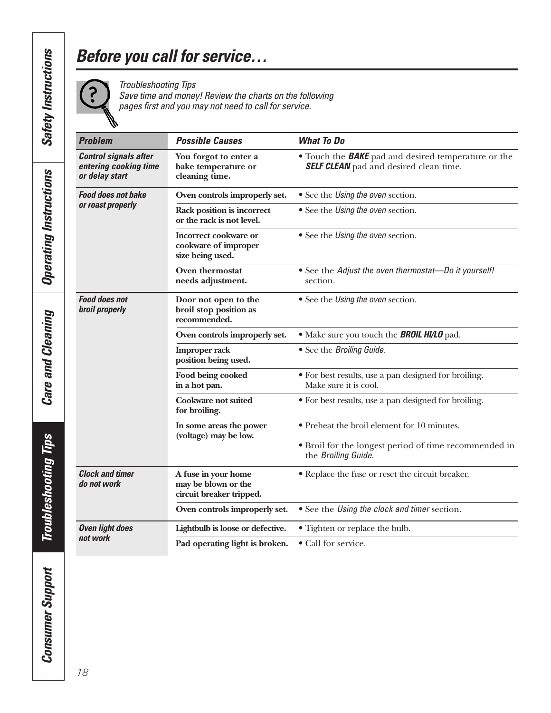# <span id="page-17-0"></span>*Before you call for service…*

?

*Troubleshooting Tips Save time and money! Review the charts on the following pages first and you may not need to call for service.*

| <b>Problem</b>                                                          | <b>Possible Causes</b>                                                 | <b>What To Do</b>                                                                                           |
|-------------------------------------------------------------------------|------------------------------------------------------------------------|-------------------------------------------------------------------------------------------------------------|
| <b>Control signals after</b><br>entering cooking time<br>or delay start | You forgot to enter a<br>bake temperature or<br>cleaning time.         | • Touch the <b>BAKE</b> pad and desired temperature or the<br><b>SELF CLEAN</b> pad and desired clean time. |
| <b>Food does not bake</b><br>or roast properly                          | Oven controls improperly set.                                          | • See the <i>Using the oven</i> section.                                                                    |
|                                                                         | Rack position is incorrect<br>or the rack is not level.                | • See the Using the oven section.                                                                           |
|                                                                         | Incorrect cookware or<br>cookware of improper<br>size being used.      | • See the <i>Using the oven</i> section.                                                                    |
|                                                                         | Oven thermostat<br>needs adjustment.                                   | • See the Adjust the oven thermostat-Do it yourself!<br>section.                                            |
| <b>Food does not</b><br><b>broil properly</b>                           | Door not open to the<br>broil stop position as<br>recommended.         | • See the <i>Using the oven</i> section.                                                                    |
|                                                                         | Oven controls improperly set.                                          | . Make sure you touch the <b>BROIL HI/LO</b> pad.                                                           |
|                                                                         | <b>Improper rack</b><br>position being used.                           | • See the Broiling Guide.                                                                                   |
|                                                                         | Food being cooked<br>in a hot pan.                                     | • For best results, use a pan designed for broiling.<br>Make sure it is cool.                               |
|                                                                         | Cookware not suited<br>for broiling.                                   | • For best results, use a pan designed for broiling.                                                        |
|                                                                         | In some areas the power<br>(voltage) may be low.                       | • Preheat the broil element for 10 minutes.                                                                 |
|                                                                         |                                                                        | • Broil for the longest period of time recommended in<br>the Broiling Guide.                                |
| <b>Clock and timer</b><br>do not work                                   | A fuse in your home<br>may be blown or the<br>circuit breaker tripped. | • Replace the fuse or reset the circuit breaker.                                                            |
|                                                                         | Oven controls improperly set.                                          | • See the Using the clock and timer section.                                                                |
| <b>Oven light does</b>                                                  | Lightbulb is loose or defective.                                       | • Tighten or replace the bulb.                                                                              |
| not work                                                                | Pad operating light is broken.                                         | • Call for service.                                                                                         |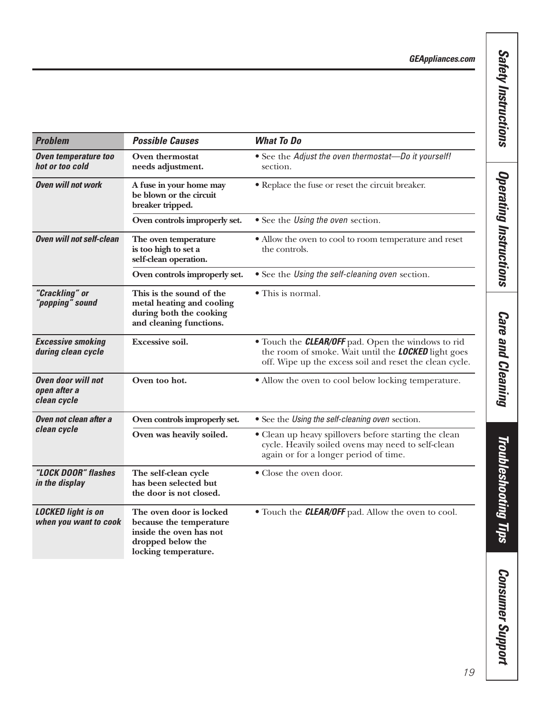*GEAppliances.com*

| <b>Problem</b>                                           | <b>Possible Causes</b>                                                                                                     | <b>What To Do</b>                                                                                                                                                                  |
|----------------------------------------------------------|----------------------------------------------------------------------------------------------------------------------------|------------------------------------------------------------------------------------------------------------------------------------------------------------------------------------|
| Oven temperature too<br>hot or too cold                  | Oven thermostat<br>needs adjustment.                                                                                       | • See the Adjust the oven thermostat-Do it yourself!<br>section.                                                                                                                   |
| <b>Oven will not work</b>                                | A fuse in your home may<br>be blown or the circuit<br>breaker tripped.                                                     | • Replace the fuse or reset the circuit breaker.                                                                                                                                   |
|                                                          | Oven controls improperly set.                                                                                              | • See the <i>Using the oven</i> section.                                                                                                                                           |
| <b>Oven will not self-clean</b>                          | The oven temperature<br>is too high to set a<br>self-clean operation.                                                      | • Allow the oven to cool to room temperature and reset<br>the controls.                                                                                                            |
|                                                          | Oven controls improperly set.                                                                                              | • See the Using the self-cleaning oven section.                                                                                                                                    |
| "Crackling" or<br>"popping" sound                        | This is the sound of the<br>metal heating and cooling<br>during both the cooking<br>and cleaning functions.                | • This is normal.                                                                                                                                                                  |
| <b>Excessive smoking</b><br>during clean cycle           | <b>Excessive soil.</b>                                                                                                     | • Touch the <b>CLEAR/OFF</b> pad. Open the windows to rid<br>the room of smoke. Wait until the <b>LOCKED</b> light goes<br>off. Wipe up the excess soil and reset the clean cycle. |
| <b>Oven door will not</b><br>open after a<br>clean cycle | Oven too hot.                                                                                                              | • Allow the oven to cool below locking temperature.                                                                                                                                |
| Oven not clean after a                                   | Oven controls improperly set.                                                                                              | • See the Using the self-cleaning oven section.                                                                                                                                    |
| clean cycle                                              | Oven was heavily soiled.                                                                                                   | • Clean up heavy spillovers before starting the clean<br>cycle. Heavily soiled ovens may need to self-clean<br>again or for a longer period of time.                               |
| "LOCK DOOR" flashes<br>in the display                    | The self-clean cycle<br>has been selected but<br>the door is not closed.                                                   | • Close the oven door.                                                                                                                                                             |
| <b>LOCKED light is on</b><br>when you want to cook       | The oven door is locked<br>because the temperature<br>inside the oven has not<br>dropped below the<br>locking temperature. | • Touch the <b>CLEAR/OFF</b> pad. Allow the oven to cool.                                                                                                                          |

**Safety Instructions** *Safety Instructions* **Operating Instructions** *Operating Instructions*

**Care and Cleaning** *Care and Cleaning*

**Troubleshooting Tips** *Troubleshooting Tips*

**Consumer Support** *Consumer Support*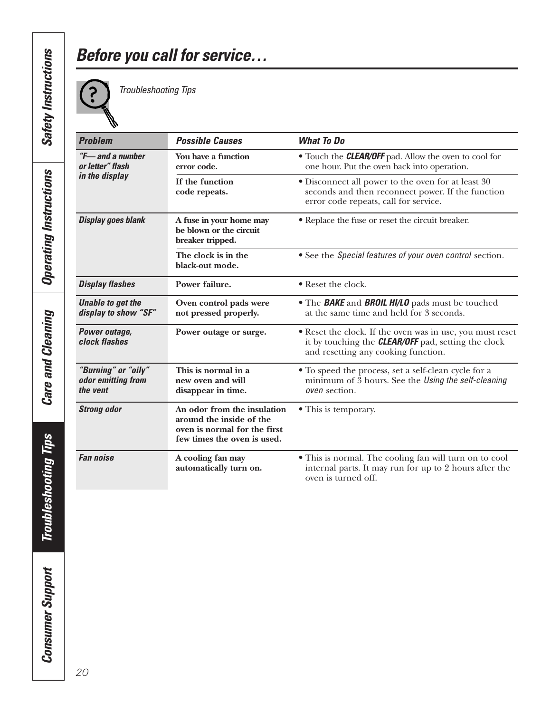# *Before you call for service…*



*Troubleshooting Tips* 

| <b>Problem</b>                                         | <b>Possible Causes</b>                                                                                                 | <b>What To Do</b>                                                                                                                                              |
|--------------------------------------------------------|------------------------------------------------------------------------------------------------------------------------|----------------------------------------------------------------------------------------------------------------------------------------------------------------|
| $H$ and a number<br>or letter" flash<br>in the display | You have a function<br>error code.                                                                                     | • Touch the <b>CLEAR/OFF</b> pad. Allow the oven to cool for<br>one hour. Put the oven back into operation.                                                    |
|                                                        | If the function<br>code repeats.                                                                                       | • Disconnect all power to the oven for at least 30<br>seconds and then reconnect power. If the function<br>error code repeats, call for service.               |
| <b>Display goes blank</b>                              | A fuse in your home may<br>be blown or the circuit<br>breaker tripped.                                                 | • Replace the fuse or reset the circuit breaker.                                                                                                               |
|                                                        | The clock is in the<br>black-out mode.                                                                                 | • See the Special features of your oven control section.                                                                                                       |
| <b>Display flashes</b>                                 | Power failure.                                                                                                         | • Reset the clock.                                                                                                                                             |
| <b>Unable to get the</b><br>display to show "SF"       | Oven control pads were<br>not pressed properly.                                                                        | • The <b>BAKE</b> and <b>BROIL HI/LO</b> pads must be touched<br>at the same time and held for 3 seconds.                                                      |
| Power outage,<br>clock flashes                         | Power outage or surge.                                                                                                 | • Reset the clock. If the oven was in use, you must reset<br>it by touching the <b>CLEAR/OFF</b> pad, setting the clock<br>and resetting any cooking function. |
| "Burning" or "oily"<br>odor emitting from<br>the vent  | This is normal in a<br>new oven and will<br>disappear in time.                                                         | • To speed the process, set a self-clean cycle for a<br>minimum of $\overline{3}$ hours. See the Using the self-cleaning<br><i>oven</i> section.               |
| <b>Strong odor</b>                                     | An odor from the insulation<br>around the inside of the<br>oven is normal for the first<br>few times the oven is used. | • This is temporary.                                                                                                                                           |
| <b>Fan noise</b>                                       | A cooling fan may<br>automatically turn on.                                                                            | $\bullet$ This is normal. The cooling fan will turn on to cool<br>internal parts. It may run for up to 2 hours after the<br>oven is turned off.                |

**Troubleshooting Tips** *Troubleshooting Tips* **Consumer Support** *Consumer Support*

*Care and Cleaning*

**Care and Cleaning**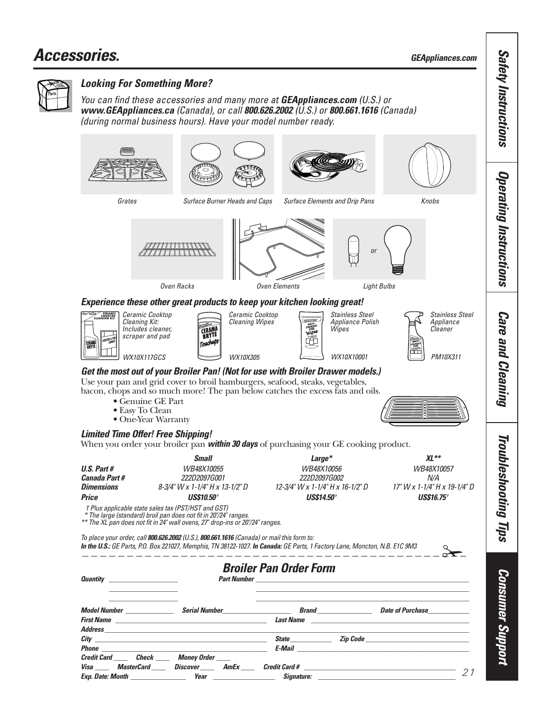<span id="page-20-0"></span>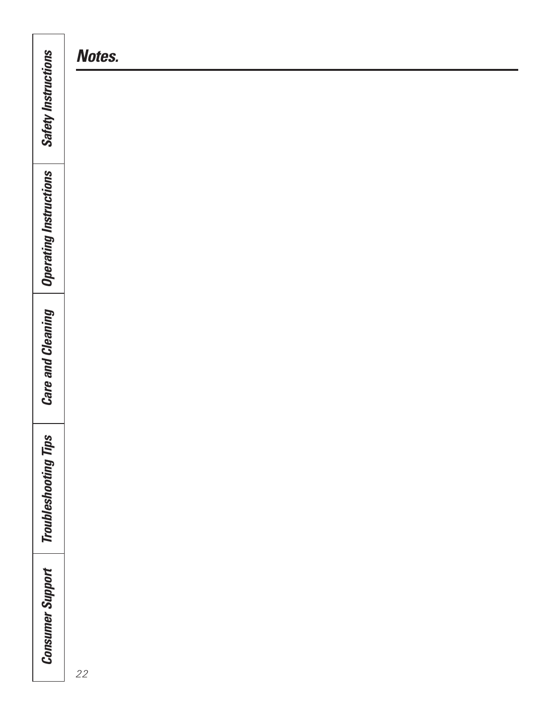|                                                                                                                                                                                       | )                         |
|---------------------------------------------------------------------------------------------------------------------------------------------------------------------------------------|---------------------------|
|                                                                                                                                                                                       | )                         |
| Ń<br>n I von<br>i<br><b>COUDIESP</b>                                                                                                                                                  | $\ddot{\phantom{a}}$<br>ŋ |
| nodans<br>I<br>∧<br>יי<br>j<br>enma<br>. ישכי<br>ת הר<br>֦֧֦֧֦֧֦֧֦֧֦֧֦֧֦֧֧֦֧֧֦֧֦֧֧֧֧֧֧֧֧֧֧֧֧֦֧֧֧֧֧֧֧֧֧֞֘֝֝֝֝֝֝֝֬֝֬֝֓֝֬֓֬֓֬֓֓֓֓֝֬֝֬֓֓֓֓֬֝֬֓֓<br>֧֧֧֧֧֧֧֧֧֧֧֧֧֧֧֧֝<br>֧֪֪֧֪֧֪֧֧֧֧֝<br>Ç | ٦<br>ä                    |

*Notes.*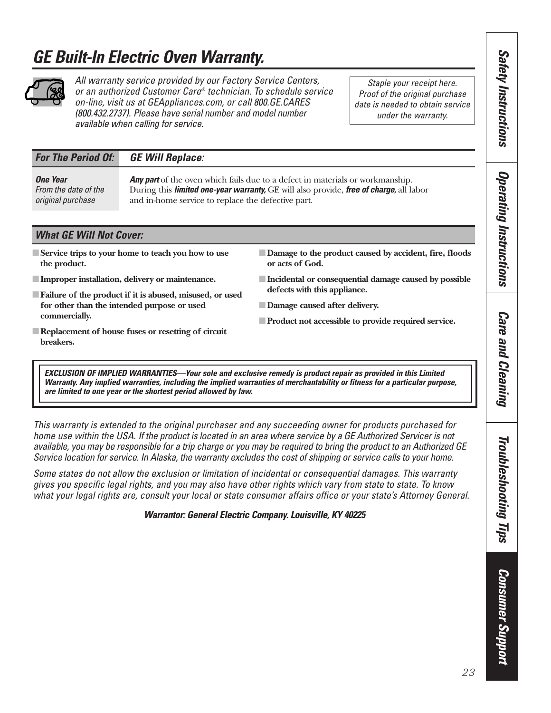# <span id="page-22-0"></span>*GE Built-In Electric Oven Warranty.*



*All warranty service provided by our Factory Service Centers, or an authorized Customer Care® technician. To schedule service on-line, visit us at GEAppliances.com, or call 800.GE.CARES (800.432.2737). Please have serial number and model number availa ble when calling for service.*

*Staple your receipt here. Proof of the original purchase date is needed to obtain service under the warranty.*

### *For The Period Of: GE Will Replace:*

| <b>One Year</b>      | <b>Any part</b> of the oven which fails due to a defect in materials or workmanship.                   |
|----------------------|--------------------------------------------------------------------------------------------------------|
| From the date of the | During this <i>limited one-year warranty</i> , GE will also provide, <i>free of charge</i> , all labor |
| original purchase    | and in-home service to replace the defective part.                                                     |

#### *What GE Will Not Cover:*

- ■**Service trips to your home to teach you how to use the product.**
- ■**Improper installation, delivery or maintenance.**
- ■**Failure of the product if it is abused, misused, or used for other than the intended purpose or used commercially.**
- ■**Replacement of house fuses or resetting of circuit breakers.**
- **Damage to the product caused by accident, fire, floods or acts of God.**
- ■**Incidental or consequential damage caused by possible defects with this appliance.**
- ■**Damage caused after delivery.**
- ■**Product not accessible to provide required service.**
- *EXCLUSION OF IMPLIED WARRANTIES—Your sole and exclusive remedy is product repair as provided in this Limited Warranty. Any implied warranties, including the implied warranties of merchantability or fitness for a particular purpose, are limited to one year or the shortest period allowed by law.*

*This warranty is extended to the original purchaser and any succeeding owner for products purchased for home use within the USA. If the product is located in an area where service by a GE Authorized Servicer is not available, you may be responsible for a trip charge or you may be required to bring the product to an Authorized GE Service location for service. In Alaska, the warranty excludes the cost of shipping or service calls to your home.*

*Some states do not allow the exclusion or limitation of incidental or consequential damages. This warranty gives you specific legal rights, and you may also have other rights which vary from state to state. To know what your legal rights are, consult your local or state consumer affairs office or your state's Attorney General.*

*Warrantor: General Electric Company. Louisville, KY 40225*

Troubleshooting Tips *Troubleshooting Tips*

*Safety Instructions*

**Safety Instructions** 

*Operating Instructions*

**Operating Instructions** 

*Care and Cleaning*

**Care and Cleaning** 

**Consumer Support** *Consumer Support*